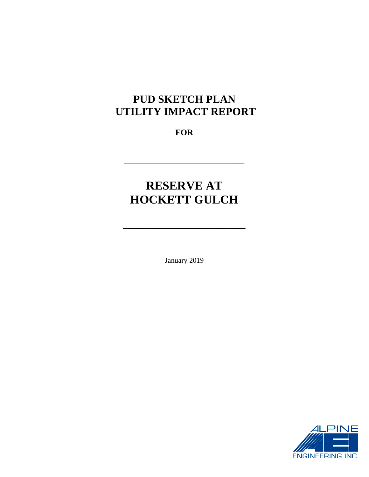# **PUD SKETCH PLAN UTILITY IMPACT REPORT**

**FOR** 

 $\overline{\phantom{a}}$  , where  $\overline{\phantom{a}}$  , where  $\overline{\phantom{a}}$  , where  $\overline{\phantom{a}}$ 

# **RESERVE AT HOCKETT GULCH**

**\_\_\_\_\_\_\_\_\_\_\_\_\_\_\_\_\_\_\_\_\_\_\_\_\_\_\_\_\_** 

January 2019

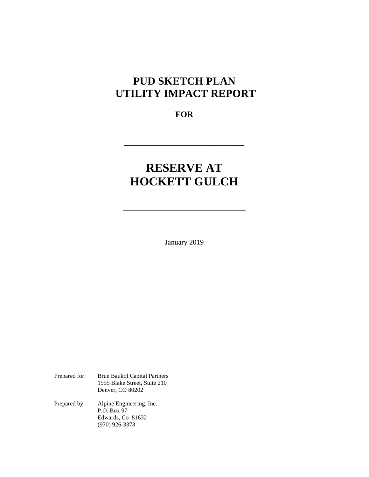# **PUD SKETCH PLAN UTILITY IMPACT REPORT**

**FOR** 

 $\overline{\phantom{a}}$  , where  $\overline{\phantom{a}}$  , where  $\overline{\phantom{a}}$  , where  $\overline{\phantom{a}}$  , where  $\overline{\phantom{a}}$ 

# **RESERVE AT HOCKETT GULCH**

**\_\_\_\_\_\_\_\_\_\_\_\_\_\_\_\_\_\_\_\_\_\_\_\_\_\_\_\_\_** 

January 2019

| Prepared for: | <b>Brue Baukol Capital Partners</b><br>1555 Blake Street, Suite 210<br>Denver, CO 80202 |
|---------------|-----------------------------------------------------------------------------------------|
| Prepared by:  | Alpine Engineering, Inc.<br>P.O. Box 97<br>Edwards, Co 81632<br>$(970)$ 926-3373        |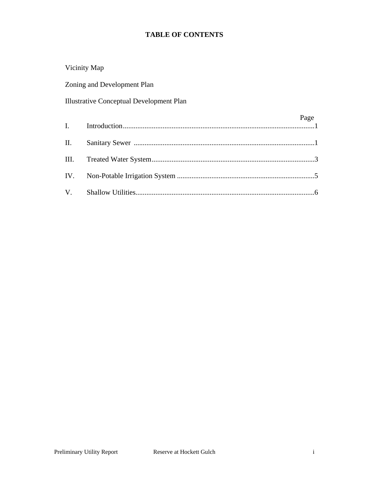## **TABLE OF CONTENTS**

|                 | Vicinity Map                             |      |
|-----------------|------------------------------------------|------|
|                 | Zoning and Development Plan              |      |
|                 | Illustrative Conceptual Development Plan |      |
| $\mathbf{I}$ .  |                                          | Page |
| $\mathbf{II}$ . |                                          |      |
| Ш.              |                                          |      |
| IV.             |                                          |      |
| $V_{\cdot}$     |                                          |      |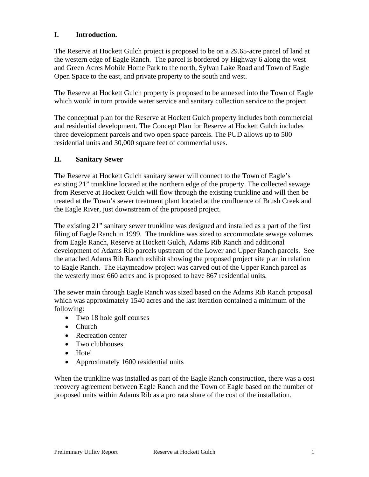#### **I. Introduction.**

The Reserve at Hockett Gulch project is proposed to be on a 29.65-acre parcel of land at the western edge of Eagle Ranch. The parcel is bordered by Highway 6 along the west and Green Acres Mobile Home Park to the north, Sylvan Lake Road and Town of Eagle Open Space to the east, and private property to the south and west.

The Reserve at Hockett Gulch property is proposed to be annexed into the Town of Eagle which would in turn provide water service and sanitary collection service to the project.

The conceptual plan for the Reserve at Hockett Gulch property includes both commercial and residential development. The Concept Plan for Reserve at Hockett Gulch includes three development parcels and two open space parcels. The PUD allows up to 500 residential units and 30,000 square feet of commercial uses.

#### **II. Sanitary Sewer**

The Reserve at Hockett Gulch sanitary sewer will connect to the Town of Eagle's existing 21" trunkline located at the northern edge of the property. The collected sewage from Reserve at Hockett Gulch will flow through the existing trunkline and will then be treated at the Town's sewer treatment plant located at the confluence of Brush Creek and the Eagle River, just downstream of the proposed project.

The existing 21" sanitary sewer trunkline was designed and installed as a part of the first filing of Eagle Ranch in 1999. The trunkline was sized to accommodate sewage volumes from Eagle Ranch, Reserve at Hockett Gulch, Adams Rib Ranch and additional development of Adams Rib parcels upstream of the Lower and Upper Ranch parcels. See the attached Adams Rib Ranch exhibit showing the proposed project site plan in relation to Eagle Ranch. The Haymeadow project was carved out of the Upper Ranch parcel as the westerly most 660 acres and is proposed to have 867 residential units.

The sewer main through Eagle Ranch was sized based on the Adams Rib Ranch proposal which was approximately 1540 acres and the last iteration contained a minimum of the following:

- Two 18 hole golf courses
- Church
- Recreation center
- Two clubhouses
- Hotel
- Approximately 1600 residential units

When the trunkline was installed as part of the Eagle Ranch construction, there was a cost recovery agreement between Eagle Ranch and the Town of Eagle based on the number of proposed units within Adams Rib as a pro rata share of the cost of the installation.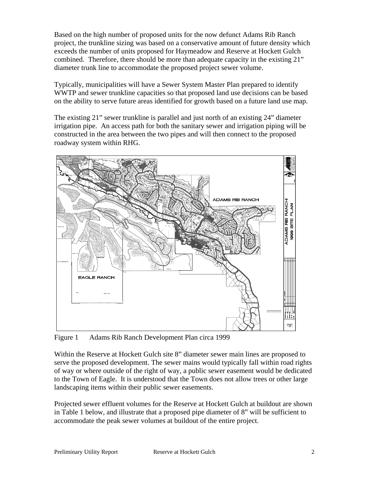Based on the high number of proposed units for the now defunct Adams Rib Ranch project, the trunkline sizing was based on a conservative amount of future density which exceeds the number of units proposed for Haymeadow and Reserve at Hockett Gulch combined. Therefore, there should be more than adequate capacity in the existing 21" diameter trunk line to accommodate the proposed project sewer volume.

Typically, municipalities will have a Sewer System Master Plan prepared to identify WWTP and sewer trunkline capacities so that proposed land use decisions can be based on the ability to serve future areas identified for growth based on a future land use map.

The existing 21" sewer trunkline is parallel and just north of an existing 24" diameter irrigation pipe. An access path for both the sanitary sewer and irrigation piping will be constructed in the area between the two pipes and will then connect to the proposed roadway system within RHG.



Figure 1 Adams Rib Ranch Development Plan circa 1999

Within the Reserve at Hockett Gulch site 8" diameter sewer main lines are proposed to serve the proposed development. The sewer mains would typically fall within road rights of way or where outside of the right of way, a public sewer easement would be dedicated to the Town of Eagle. It is understood that the Town does not allow trees or other large landscaping items within their public sewer easements.

Projected sewer effluent volumes for the Reserve at Hockett Gulch at buildout are shown in Table 1 below, and illustrate that a proposed pipe diameter of 8" will be sufficient to accommodate the peak sewer volumes at buildout of the entire project.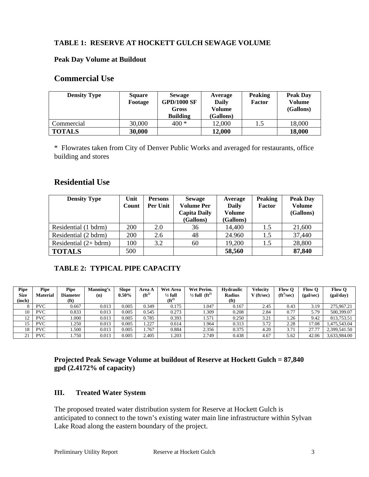### **TABLE 1: RESERVE AT HOCKETT GULCH SEWAGE VOLUME**

#### **Peak Day Volume at Buildout**

#### **Commercial Use**

| <b>Density Type</b> | <b>Square</b><br>Footage | <b>Sewage</b><br><b>GPD/1000 SF</b><br>Gross<br><b>Building</b> | Average<br>Daily<br>Volume<br>(Gallons) | <b>Peaking</b><br>Factor | Peak Day<br>Volume<br>(Gallons) |
|---------------------|--------------------------|-----------------------------------------------------------------|-----------------------------------------|--------------------------|---------------------------------|
| Commercial          | 30,000                   | 400 *                                                           | 12,000                                  | 1.5                      | 18,000                          |
| <b>TOTALS</b>       | 30,000                   |                                                                 | 12,000                                  |                          | 18,000                          |

\* Flowrates taken from City of Denver Public Works and averaged for restaurants, office building and stores

## **Residential Use**

| <b>Density Type</b>    | Unit<br>Count | <b>Persons</b><br>Per Unit | <b>Sewage</b><br><b>Volume Per</b><br><b>Capita Daily</b><br>(Gallons) | Average<br><b>Daily</b><br>Volume<br>(Gallons) | <b>Peaking</b><br>Factor | <b>Peak Day</b><br><b>Volume</b><br>(Gallons) |  |
|------------------------|---------------|----------------------------|------------------------------------------------------------------------|------------------------------------------------|--------------------------|-----------------------------------------------|--|
| Residential (1 bdrm)   | 200           | 2.0                        | 36                                                                     | 14,400                                         | 1.5                      | 21,600                                        |  |
| Residential (2 bdrm)   | 200           | 2.6                        | 48                                                                     | 24.960                                         | 1.5                      | 37,440                                        |  |
| Residential $(2+bdrm)$ | 100           | 3.2                        | 60                                                                     | 19,200                                         | 1.5                      | 28,800                                        |  |
| <b>TOTALS</b>          | 500           |                            |                                                                        | 58,560                                         |                          | 87,840                                        |  |

## **TABLE 2: TYPICAL PIPE CAPACITY**

| <b>Pipe</b><br><b>Size</b><br>(inch) | <b>Pipe</b><br><b>Material</b> | Pipe<br><b>Diameter</b><br>(f <sup>t</sup> ) | Manning's<br>(n) | Slope<br>$0.50\%$ | Area A<br>$(f t^2)$ | <b>Wet Area</b><br>$\frac{1}{2}$ full<br>$(f t^2)$ | Wet Perim.<br>$\frac{1}{2}$ full (ft <sup>2)</sup> | <b>Hydraulic</b><br><b>Radius</b><br>(f <sup>t</sup> ) | Velocitv<br>$\mathcal{I}$ (ft/sec) | <b>Flow O</b><br>$({\rm ft}^3/{\rm sec})$ | <b>Flow O</b><br>(gal/sec) | <b>Flow O</b><br>(gal/day) |
|--------------------------------------|--------------------------------|----------------------------------------------|------------------|-------------------|---------------------|----------------------------------------------------|----------------------------------------------------|--------------------------------------------------------|------------------------------------|-------------------------------------------|----------------------------|----------------------------|
|                                      | <b>PVC</b>                     | 0.667                                        | 0.013            | 0.005             | 0.349               | 0.175                                              | .047                                               | 0.167                                                  | 2.45                               | 0.43                                      | 3.19                       | 275.967.21                 |
| 10                                   | <b>PVC</b>                     | 0.833                                        | 0.013            | 0.005             | 0.545               | 0.273                                              | .309                                               | 0.208                                                  | 2.84                               | 0.77                                      | 5.79                       | 500,399.07                 |
| 12                                   | <b>PVC</b>                     | .000                                         | 0.013            | 0.005             | 0.785               | 0.393                                              | 1.571                                              | 0.250                                                  | 3.21                               | 1.26                                      | 9.42                       | 813.753.51                 |
|                                      | <b>PVC</b>                     | .250                                         | 0.013            | 0.005             | .227                | 0.614                                              | .964                                               | 0.313                                                  | 3.72                               | 2.28                                      | 17.08                      | 1.475.543.04               |
| 18                                   | <b>PVC</b>                     | .500                                         | 0.013            | 0.005             | .767                | 0.884                                              | 2.356                                              | 0.375                                                  | 4.20                               | 3.71                                      | 27.77                      | 2,399,541.50               |
| $^{\circ}$ 1<br>∠⊥                   | <b>PVC</b>                     | .750                                         | 0.013            | 0.005             | 2.405               | .203                                               | 2.749                                              | 0.438                                                  | 4.67                               | 5.62                                      | 42.06                      | 3,633,984.00               |

#### **Projected Peak Sewage Volume at buildout of Reserve at Hockett Gulch = 87,840 gpd (2.4172% of capacity)**

#### **III. Treated Water System**

The proposed treated water distribution system for Reserve at Hockett Gulch is anticipated to connect to the town's existing water main line infrastructure within Sylvan Lake Road along the eastern boundary of the project.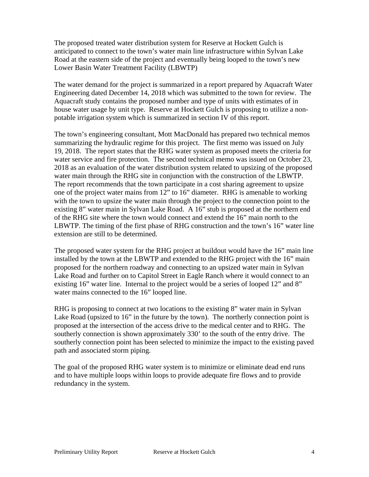The proposed treated water distribution system for Reserve at Hockett Gulch is anticipated to connect to the town's water main line infrastructure within Sylvan Lake Road at the eastern side of the project and eventually being looped to the town's new Lower Basin Water Treatment Facility (LBWTP)

The water demand for the project is summarized in a report prepared by Aquacraft Water Engineering dated December 14, 2018 which was submitted to the town for review. The Aquacraft study contains the proposed number and type of units with estimates of in house water usage by unit type. Reserve at Hockett Gulch is proposing to utilize a nonpotable irrigation system which is summarized in section IV of this report.

The town's engineering consultant, Mott MacDonald has prepared two technical memos summarizing the hydraulic regime for this project. The first memo was issued on July 19, 2018. The report states that the RHG water system as proposed meets the criteria for water service and fire protection. The second technical memo was issued on October 23, 2018 as an evaluation of the water distribution system related to upsizing of the proposed water main through the RHG site in conjunction with the construction of the LBWTP. The report recommends that the town participate in a cost sharing agreement to upsize one of the project water mains from 12" to 16" diameter. RHG is amenable to working with the town to upsize the water main through the project to the connection point to the existing 8" water main in Sylvan Lake Road. A 16" stub is proposed at the northern end of the RHG site where the town would connect and extend the 16" main north to the LBWTP. The timing of the first phase of RHG construction and the town's 16" water line extension are still to be determined.

The proposed water system for the RHG project at buildout would have the 16" main line installed by the town at the LBWTP and extended to the RHG project with the 16" main proposed for the northern roadway and connecting to an upsized water main in Sylvan Lake Road and further on to Capitol Street in Eagle Ranch where it would connect to an existing 16" water line. Internal to the project would be a series of looped 12" and 8" water mains connected to the 16" looped line.

RHG is proposing to connect at two locations to the existing 8" water main in Sylvan Lake Road (upsized to 16" in the future by the town). The northerly connection point is proposed at the intersection of the access drive to the medical center and to RHG. The southerly connection is shown approximately 330' to the south of the entry drive. The southerly connection point has been selected to minimize the impact to the existing paved path and associated storm piping.

The goal of the proposed RHG water system is to minimize or eliminate dead end runs and to have multiple loops within loops to provide adequate fire flows and to provide redundancy in the system.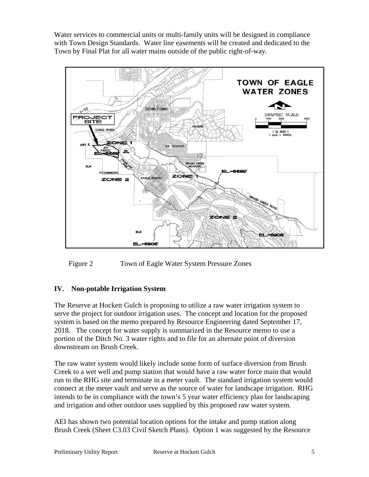Water services to commercial units or multi-family units will be designed in compliance with Town Design Standards. Water line easements will be created and dedicated to the Town by Final Plat for all water mains outside of the public right-of-way.



Figure 2 Town of Eagle Water System Pressure Zones

### **IV. Non-potable Irrigation System**

The Reserve at Hockett Gulch is proposing to utilize a raw water irrigation system to serve the project for outdoor irrigation uses. The concept and location for the proposed system is based on the memo prepared by Resource Engineering dated September 17, 2018. The concept for water supply is summarized in the Resource memo to use a portion of the Ditch No. 3 water rights and to file for an alternate point of diversion downstream on Brush Creek.

The raw water system would likely include some form of surface diversion from Brush Creek to a wet well and pump station that would have a raw water force main that would run to the RHG site and terminate in a meter vault. The standard irrigation system would connect at the meter vault and serve as the source of water for landscape irrigation. RHG intends to be in compliance with the town's 5 year water efficiency plan for landscaping and irrigation and other outdoor uses supplied by this proposed raw water system.

AEI has shown two potential location options for the intake and pump station along Brush Creek (Sheet C3.03 Civil Sketch Plans). Option 1 was suggested by the Resource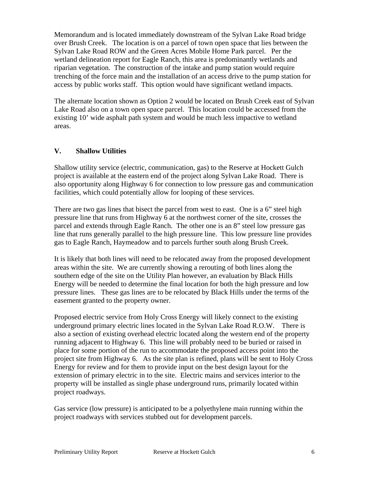Memorandum and is located immediately downstream of the Sylvan Lake Road bridge over Brush Creek. The location is on a parcel of town open space that lies between the Sylvan Lake Road ROW and the Green Acres Mobile Home Park parcel. Per the wetland delineation report for Eagle Ranch, this area is predominantly wetlands and riparian vegetation. The construction of the intake and pump station would require trenching of the force main and the installation of an access drive to the pump station for access by public works staff. This option would have significant wetland impacts.

The alternate location shown as Option 2 would be located on Brush Creek east of Sylvan Lake Road also on a town open space parcel. This location could be accessed from the existing 10' wide asphalt path system and would be much less impactive to wetland areas.

#### **V. Shallow Utilities**

Shallow utility service (electric, communication, gas) to the Reserve at Hockett Gulch project is available at the eastern end of the project along Sylvan Lake Road. There is also opportunity along Highway 6 for connection to low pressure gas and communication facilities, which could potentially allow for looping of these services.

There are two gas lines that bisect the parcel from west to east. One is a 6" steel high pressure line that runs from Highway 6 at the northwest corner of the site, crosses the parcel and extends through Eagle Ranch. The other one is an 8" steel low pressure gas line that runs generally parallel to the high pressure line. This low pressure line provides gas to Eagle Ranch, Haymeadow and to parcels further south along Brush Creek.

It is likely that both lines will need to be relocated away from the proposed development areas within the site. We are currently showing a rerouting of both lines along the southern edge of the site on the Utility Plan however, an evaluation by Black Hills Energy will be needed to determine the final location for both the high pressure and low pressure lines. These gas lines are to be relocated by Black Hills under the terms of the easement granted to the property owner.

Proposed electric service from Holy Cross Energy will likely connect to the existing underground primary electric lines located in the Sylvan Lake Road R.O.W. There is also a section of existing overhead electric located along the western end of the property running adjacent to Highway 6. This line will probably need to be buried or raised in place for some portion of the run to accommodate the proposed access point into the project site from Highway 6. As the site plan is refined, plans will be sent to Holy Cross Energy for review and for them to provide input on the best design layout for the extension of primary electric in to the site. Electric mains and services interior to the property will be installed as single phase underground runs, primarily located within project roadways.

Gas service (low pressure) is anticipated to be a polyethylene main running within the project roadways with services stubbed out for development parcels.